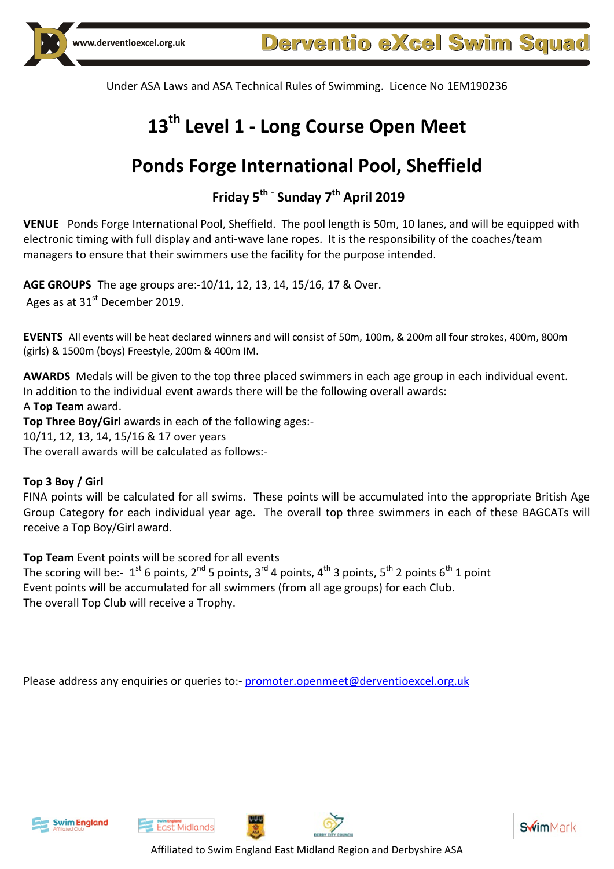# **13 th Level 1 - Long Course Open Meet**

# **Ponds Forge International Pool, Sheffield**

# **Friday 5 th - Sunday 7 th April 2019**

**VENUE** Ponds Forge International Pool, Sheffield. The pool length is 50m, 10 lanes, and will be equipped with electronic timing with full display and anti-wave lane ropes. It is the responsibility of the coaches/team managers to ensure that their swimmers use the facility for the purpose intended.

**AGE GROUPS** The age groups are:-10/11, 12, 13, 14, 15/16, 17 & Over. Ages as at 31<sup>st</sup> December 2019.

**EVENTS** All events will be heat declared winners and will consist of 50m, 100m, & 200m all four strokes, 400m, 800m (girls) & 1500m (boys) Freestyle, 200m & 400m IM.

**AWARDS** Medals will be given to the top three placed swimmers in each age group in each individual event. In addition to the individual event awards there will be the following overall awards: A **Top Team** award.

**Top Three Boy/Girl** awards in each of the following ages:- 10/11, 12, 13, 14, 15/16 & 17 over years The overall awards will be calculated as follows:-

### **Top 3 Boy / Girl**

FINA points will be calculated for all swims. These points will be accumulated into the appropriate British Age Group Category for each individual year age. The overall top three swimmers in each of these BAGCATs will receive a Top Boy/Girl award.

**Top Team** Event points will be scored for all events

The scoring will be:-  $1^{\text{st}}$  6 points, 2<sup>nd</sup> 5 points, 3<sup>rd</sup> 4 points, 4<sup>th</sup> 3 points, 5<sup>th</sup> 2 points 6<sup>th</sup> 1 point Event points will be accumulated for all swimmers (from all age groups) for each Club. The overall Top Club will receive a Trophy.

Please address any enquiries or queries to:- [promoter.openmeet@derventioexcel.org.uk](mailto:promoter.openmeet@derventioexcel.org.uk)





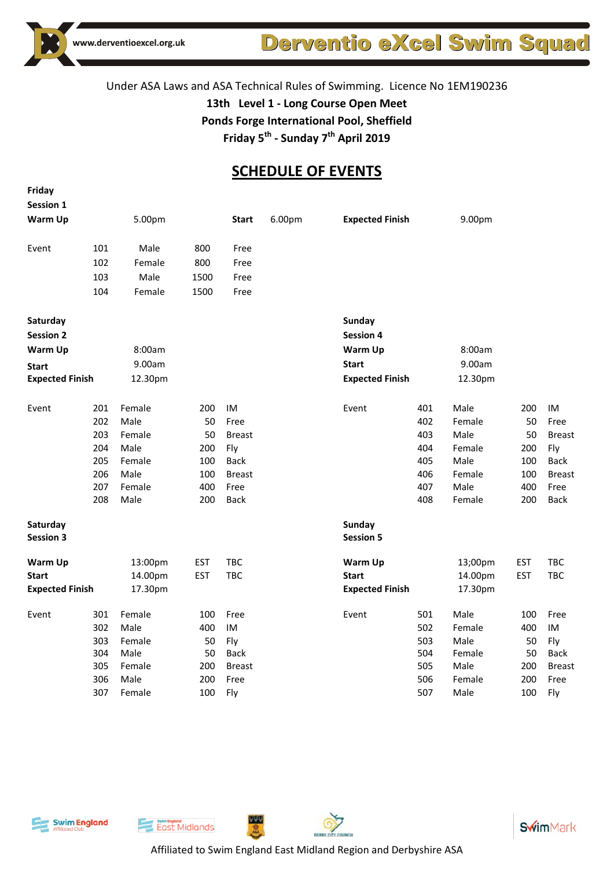

# Derventio eXcel Swim Squad

### Under ASA Laws and ASA Technical Rules of Swimming. Licence No 1EM190236

**13th Level 1 - Long Course Open Meet**

**Ponds Forge International Pool, Sheffield**

**Friday 5 th - Sunday 7 th April 2019**

# **SCHEDULE OF EVENTS**

| Friday                       |     |         |            |               |        |                            |     |         |            |               |
|------------------------------|-----|---------|------------|---------------|--------|----------------------------|-----|---------|------------|---------------|
| Session 1                    |     |         |            |               |        |                            |     |         |            |               |
| Warm Up                      |     | 5.00pm  |            | <b>Start</b>  | 6.00pm | <b>Expected Finish</b>     |     | 9.00pm  |            |               |
| Event                        | 101 | Male    | 800        | Free          |        |                            |     |         |            |               |
|                              | 102 | Female  | 800        | Free          |        |                            |     |         |            |               |
|                              | 103 | Male    | 1500       | Free          |        |                            |     |         |            |               |
|                              | 104 | Female  | 1500       | Free          |        |                            |     |         |            |               |
| Saturday                     |     |         |            |               |        | Sunday                     |     |         |            |               |
| <b>Session 2</b>             |     |         |            |               |        | <b>Session 4</b>           |     |         |            |               |
| Warm Up                      |     | 8:00am  |            |               |        | Warm Up                    |     | 8:00am  |            |               |
| <b>Start</b>                 |     | 9.00am  |            |               |        | <b>Start</b>               |     | 9.00am  |            |               |
| <b>Expected Finish</b>       |     | 12.30pm |            |               |        | <b>Expected Finish</b>     |     | 12.30pm |            |               |
| Event                        | 201 | Female  | 200        | IM            |        | Event                      | 401 | Male    | 200        | IM            |
|                              | 202 | Male    | 50         | Free          |        |                            | 402 | Female  | 50         | Free          |
|                              | 203 | Female  | 50         | <b>Breast</b> |        |                            | 403 | Male    | 50         | <b>Breast</b> |
|                              | 204 | Male    | 200        | Fly           |        |                            | 404 | Female  | 200        | Fly           |
|                              | 205 | Female  | 100        | <b>Back</b>   |        |                            | 405 | Male    | 100        | <b>Back</b>   |
|                              | 206 | Male    | 100        | <b>Breast</b> |        |                            | 406 | Female  | 100        | <b>Breast</b> |
|                              | 207 | Female  | 400        | Free          |        |                            | 407 | Male    | 400        | Free          |
|                              | 208 | Male    | 200        | <b>Back</b>   |        |                            | 408 | Female  | 200        | <b>Back</b>   |
| Saturday<br><b>Session 3</b> |     |         |            |               |        | Sunday<br><b>Session 5</b> |     |         |            |               |
| <b>Warm Up</b>               |     | 13:00pm | <b>EST</b> | TBC           |        | Warm Up                    |     | 13;00pm | <b>EST</b> | TBC           |
| <b>Start</b>                 |     | 14.00pm | <b>EST</b> | TBC           |        | <b>Start</b>               |     | 14.00pm | <b>EST</b> | TBC           |
| <b>Expected Finish</b>       |     | 17.30pm |            |               |        | <b>Expected Finish</b>     |     | 17.30pm |            |               |
| Event                        | 301 | Female  | 100        | Free          |        | Event                      | 501 | Male    | 100        | Free          |
|                              | 302 | Male    | 400        | IM            |        |                            | 502 | Female  | 400        | IM            |
|                              | 303 | Female  | 50         | Fly           |        |                            | 503 | Male    | 50         | Fly           |
|                              | 304 | Male    | 50         | <b>Back</b>   |        |                            | 504 | Female  | 50         | <b>Back</b>   |
|                              | 305 | Female  | 200        | <b>Breast</b> |        |                            | 505 | Male    | 200        | <b>Breast</b> |
|                              | 306 | Male    | 200        | Free          |        |                            | 506 | Female  | 200        | Free          |
|                              | 307 | Female  | 100        | Fly           |        |                            | 507 | Male    | 100        | Fly           |





Affiliated to Swim England East Midland Region and Derbyshire ASA

**WAT**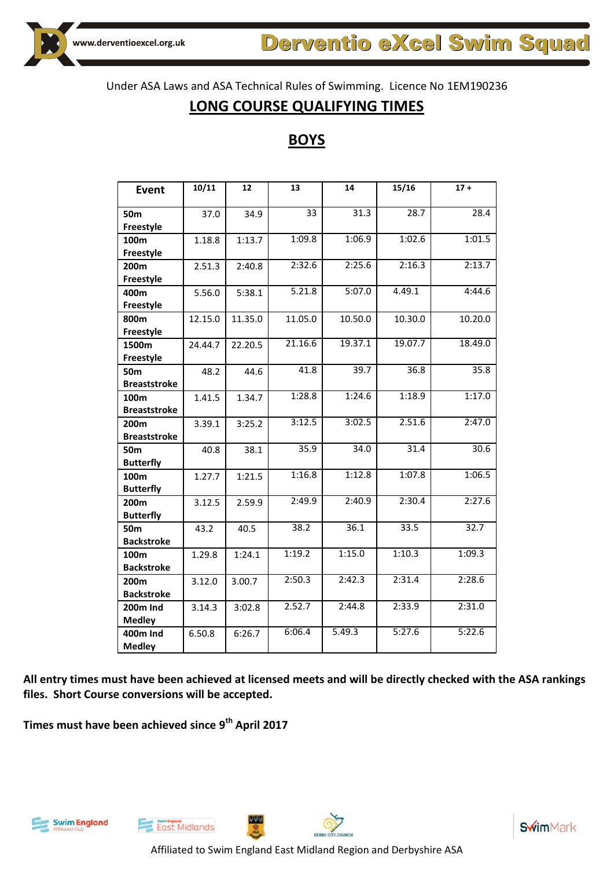## **LONG COURSE QUALIFYING TIMES**

# **BOYS**

| Event               | 10/11   | 12      | 13      | 14      | 15/16   | $17 +$  |
|---------------------|---------|---------|---------|---------|---------|---------|
|                     |         |         |         |         |         |         |
| <b>50m</b>          | 37.0    | 34.9    | 33      | 31.3    | 28.7    | 28.4    |
| Freestyle           |         |         |         |         |         |         |
| 100m                | 1.18.8  | 1:13.7  | 1:09.8  | 1:06.9  | 1:02.6  | 1:01.5  |
| Freestyle           |         |         |         |         |         |         |
| 200m                | 2.51.3  | 2:40.8  | 2:32.6  | 2:25.6  | 2:16.3  | 2:13.7  |
| Freestyle           |         |         | 5.21.8  |         |         | 4:44.6  |
| 400m                | 5.56.0  | 5:38.1  |         | 5:07.0  | 4.49.1  |         |
| Freestyle           |         |         |         |         |         |         |
| 800m                | 12.15.0 | 11.35.0 | 11.05.0 | 10.50.0 | 10.30.0 | 10.20.0 |
| Freestyle           |         |         |         |         |         |         |
| 1500m               | 24.44.7 | 22.20.5 | 21.16.6 | 19.37.1 | 19.07.7 | 18.49.0 |
| Freestyle           |         |         |         |         |         |         |
| <b>50m</b>          | 48.2    | 44.6    | 41.8    | 39.7    | 36.8    | 35.8    |
| <b>Breaststroke</b> |         |         |         |         |         |         |
| 100m                | 1.41.5  | 1.34.7  | 1:28.8  | 1:24.6  | 1:18.9  | 1:17.0  |
| <b>Breaststroke</b> |         |         |         |         |         |         |
| 200m                | 3.39.1  | 3:25.2  | 3:12.5  | 3:02.5  | 2.51.6  | 2:47.0  |
| <b>Breaststroke</b> |         |         |         |         |         |         |
| 50 <sub>m</sub>     | 40.8    | 38.1    | 35.9    | 34.0    | 31.4    | 30.6    |
| <b>Butterfly</b>    |         |         |         |         |         |         |
| 100m                | 1.27.7  | 1:21.5  | 1:16.8  | 1:12.8  | 1:07.8  | 1:06.5  |
| <b>Butterfly</b>    |         |         |         |         |         |         |
| 200m                | 3.12.5  | 2.59.9  | 2:49.9  | 2:40.9  | 2:30.4  | 2:27.6  |
| <b>Butterfly</b>    |         |         |         |         |         |         |
| 50 <sub>m</sub>     | 43.2    | 40.5    | 38.2    | 36.1    | 33.5    | 32.7    |
| <b>Backstroke</b>   |         |         |         |         |         |         |
| 100m                | 1.29.8  | 1:24.1  | 1:19.2  | 1:15.0  | 1:10.3  | 1:09.3  |
| <b>Backstroke</b>   |         |         |         |         |         |         |
| 200m                | 3.12.0  | 3.00.7  | 2:50.3  | 2:42.3  | 2:31.4  | 2:28.6  |
| <b>Backstroke</b>   |         |         |         |         |         |         |
| <b>200m Ind</b>     | 3.14.3  | 3:02.8  | 2.52.7  | 2:44.8  | 2:33.9  | 2:31.0  |
| <b>Medley</b>       |         |         |         |         |         |         |
| <b>400m Ind</b>     | 6.50.8  | 6:26.7  | 6:06.4  | 5.49.3  | 5:27.6  | 5:22.6  |
| <b>Medley</b>       |         |         |         |         |         |         |

**All entry times must have been achieved at licensed meets and will be directly checked with the ASA rankings files. Short Course conversions will be accepted.**

**Times must have been achieved since 9 th April 2017**





ببيي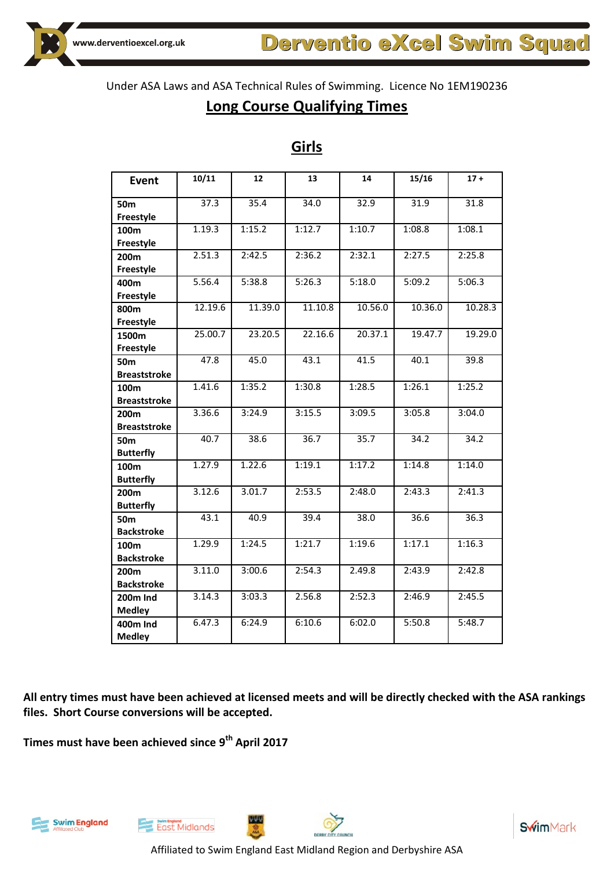## **Long Course Qualifying Times**

| <b>Event</b>        | 10/11   | 12      | 13      | 14      | 15/16   | $17 +$            |
|---------------------|---------|---------|---------|---------|---------|-------------------|
|                     |         |         |         |         |         |                   |
| 50m                 | 37.3    | 35.4    | 34.0    | 32.9    | 31.9    | 31.8              |
| Freestyle           |         |         |         |         |         |                   |
| 100m                | 1.19.3  | 1:15.2  | 1:12.7  | 1:10.7  | 1:08.8  | 1:08.1            |
| Freestyle           |         |         |         |         |         |                   |
| 200m                | 2.51.3  | 2:42.5  | 2:36.2  | 2:32.1  | 2:27.5  | 2:25.8            |
| Freestyle           |         |         |         |         |         |                   |
| 400m                | 5.56.4  | 5:38.8  | 5:26.3  | 5:18.0  | 5:09.2  | 5:06.3            |
| Freestyle           |         |         |         |         |         |                   |
| 800m                | 12.19.6 | 11.39.0 | 11.10.8 | 10.56.0 | 10.36.0 | 10.28.3           |
| Freestyle           |         |         |         |         |         |                   |
| 1500m               | 25.00.7 | 23.20.5 | 22.16.6 | 20.37.1 | 19.47.7 | 19.29.0           |
| Freestyle           |         |         |         |         |         |                   |
| 50 <sub>m</sub>     | 47.8    | 45.0    | 43.1    | 41.5    | 40.1    | 39.8              |
| <b>Breaststroke</b> |         |         |         |         |         |                   |
| 100 <sub>m</sub>    | 1.41.6  | 1:35.2  | 1:30.8  | 1:28.5  | 1:26.1  | 1:25.2            |
| <b>Breaststroke</b> |         |         |         |         |         |                   |
| 200m                | 3.36.6  | 3:24.9  | 3:15.5  | 3:09.5  | 3:05.8  | 3:04.0            |
| <b>Breaststroke</b> |         |         |         |         |         |                   |
| <b>50m</b>          | 40.7    | 38.6    | 36.7    | 35.7    | 34.2    | 34.2              |
| <b>Butterfly</b>    |         |         |         |         |         |                   |
| 100m                | 1.27.9  | 1.22.6  | 1:19.1  | 1:17.2  | 1:14.8  | 1:14.0            |
| <b>Butterfly</b>    |         |         |         |         |         |                   |
| 200m                | 3.12.6  | 3.01.7  | 2:53.5  | 2:48.0  | 2:43.3  | 2:41.3            |
| <b>Butterfly</b>    |         |         |         |         |         |                   |
| 50m                 | 43.1    | 40.9    | 39.4    | 38.0    | 36.6    | $\overline{36.3}$ |
| <b>Backstroke</b>   |         |         |         |         |         |                   |
| 100m                | 1.29.9  | 1:24.5  | 1:21.7  | 1:19.6  | 1:17.1  | 1:16.3            |
| <b>Backstroke</b>   |         |         |         |         |         |                   |
| 200m                | 3.11.0  | 3:00.6  | 2:54.3  | 2.49.8  | 2:43.9  | 2:42.8            |
| <b>Backstroke</b>   |         |         |         |         |         |                   |
| <b>200m Ind</b>     | 3.14.3  | 3:03.3  | 2.56.8  | 2:52.3  | 2:46.9  | 2:45.5            |
| <b>Medley</b>       |         |         |         |         |         |                   |
| 400m Ind            | 6.47.3  | 6:24.9  | 6:10.6  | 6:02.0  | 5:50.8  | 5:48.7            |
| <b>Medley</b>       |         |         |         |         |         |                   |

### **Girls**

**All entry times must have been achieved at licensed meets and will be directly checked with the ASA rankings files. Short Course conversions will be accepted.**

**Times must have been achieved since 9 th April 2017**







ببيي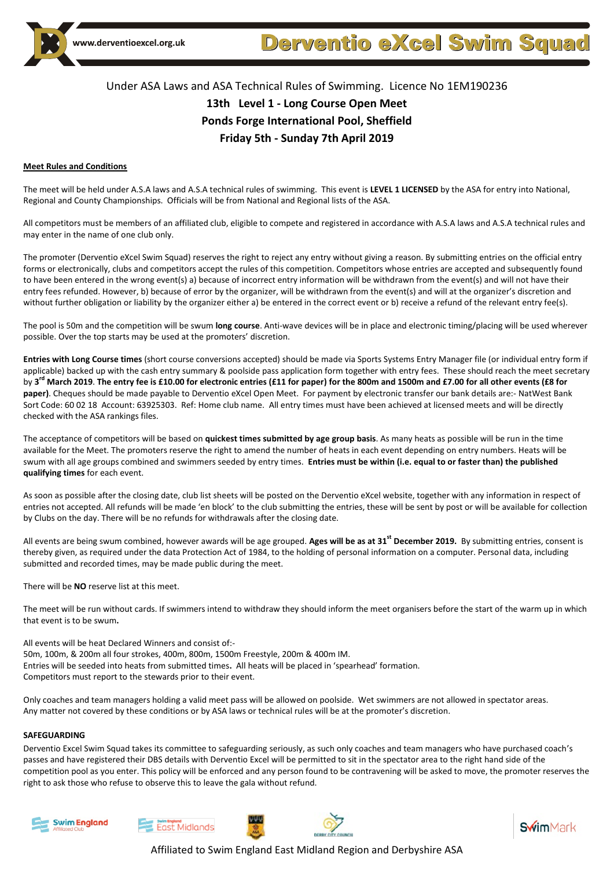

### Under ASA Laws and ASA Technical Rules of Swimming. Licence No 1EM190236 **13th Level 1 - Long Course Open Meet Ponds Forge International Pool, Sheffield Friday 5th - Sunday 7th April 2019**

#### **Meet Rules and Conditions**

The meet will be held under A.S.A laws and A.S.A technical rules of swimming. This event is **LEVEL 1 LICENSED** by the ASA for entry into National, Regional and County Championships. Officials will be from National and Regional lists of the ASA.

All competitors must be members of an affiliated club, eligible to compete and registered in accordance with A.S.A laws and A.S.A technical rules and may enter in the name of one club only.

The promoter (Derventio eXcel Swim Squad) reserves the right to reject any entry without giving a reason. By submitting entries on the official entry forms or electronically, clubs and competitors accept the rules of this competition. Competitors whose entries are accepted and subsequently found to have been entered in the wrong event(s) a) because of incorrect entry information will be withdrawn from the event(s) and will not have their entry fees refunded. However, b) because of error by the organizer, will be withdrawn from the event(s) and will at the organizer's discretion and without further obligation or liability by the organizer either a) be entered in the correct event or b) receive a refund of the relevant entry fee(s).

The pool is 50m and the competition will be swum **long course**. Anti-wave devices will be in place and electronic timing/placing will be used wherever possible. Over the top starts may be used at the promoters' discretion.

**Entries with Long Course times** (short course conversions accepted) should be made via Sports Systems Entry Manager file (or individual entry form if applicable) backed up with the cash entry summary & poolside pass application form together with entry fees. These should reach the meet secretary by **3 rd March 2019**. **The entry fee is £10.00 for electronic entries (£11 for paper) for the 800m and 1500m and £7.00 for all other events (£8 for paper)**. Cheques should be made payable to Derventio eXcel Open Meet. For payment by electronic transfer our bank details are:- NatWest Bank Sort Code: 60 02 18 Account: 63925303. Ref: Home club name. All entry times must have been achieved at licensed meets and will be directly checked with the ASA rankings files.

The acceptance of competitors will be based on **quickest times submitted by age group basis**. As many heats as possible will be run in the time available for the Meet. The promoters reserve the right to amend the number of heats in each event depending on entry numbers. Heats will be swum with all age groups combined and swimmers seeded by entry times. **Entries must be within (i.e. equal to or faster than) the published qualifying times** for each event.

As soon as possible after the closing date, club list sheets will be posted on the Derventio eXcel website, together with any information in respect of entries not accepted. All refunds will be made 'en block' to the club submitting the entries, these will be sent by post or will be available for collection by Clubs on the day. There will be no refunds for withdrawals after the closing date.

All events are being swum combined, however awards will be age grouped. **Ages will be as at 31st December 2019.** By submitting entries, consent is thereby given, as required under the data Protection Act of 1984, to the holding of personal information on a computer. Personal data, including submitted and recorded times, may be made public during the meet.

There will be **NO** reserve list at this meet.

The meet will be run without cards. If swimmers intend to withdraw they should inform the meet organisers before the start of the warm up in which that event is to be swum**.**

All events will be heat Declared Winners and consist of:- 50m, 100m, & 200m all four strokes, 400m, 800m, 1500m Freestyle, 200m & 400m IM. Entries will be seeded into heats from submitted times**.** All heats will be placed in 'spearhead' formation. Competitors must report to the stewards prior to their event.

Only coaches and team managers holding a valid meet pass will be allowed on poolside. Wet swimmers are not allowed in spectator areas. Any matter not covered by these conditions or by ASA laws or technical rules will be at the promoter's discretion.

#### **SAFEGUARDING**

Derventio Excel Swim Squad takes its committee to safeguarding seriously, as such only coaches and team managers who have purchased coach's passes and have registered their DBS details with Derventio Excel will be permitted to sit in the spectator area to the right hand side of the competition pool as you enter. This policy will be enforced and any person found to be contravening will be asked to move, the promoter reserves the right to ask those who refuse to observe this to leave the gala without refund.







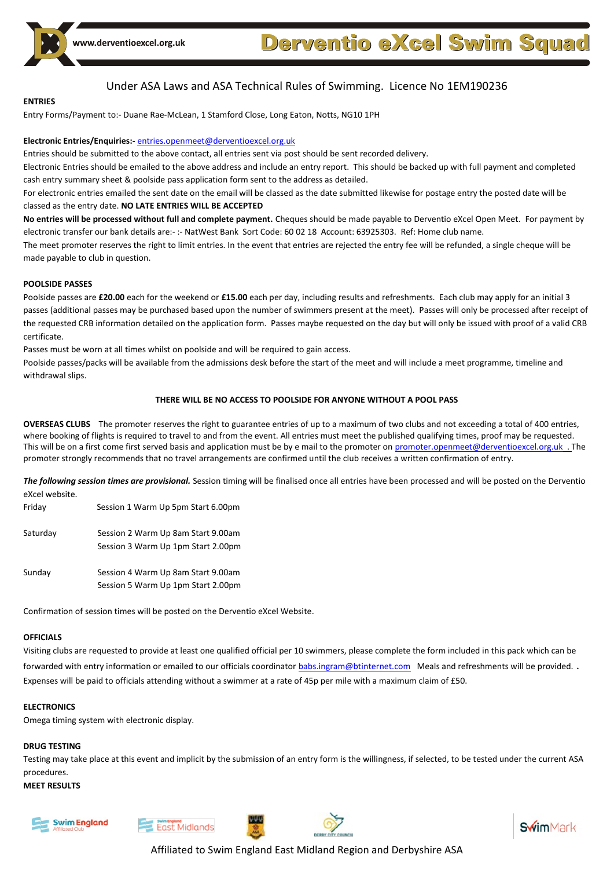

#### **ENTRIES**

Entry Forms/Payment to:- Duane Rae-McLean, 1 Stamford Close, Long Eaton, Notts, NG10 1PH

#### **Electronic Entries/Enquiries:-** [entries.openmeet@derventioexcel.org.uk](mailto:entries.openmeet@derventioexcel.org.uk)

Entries should be submitted to the above contact, all entries sent via post should be sent recorded delivery.

Electronic Entries should be emailed to the above address and include an entry report. This should be backed up with full payment and completed cash entry summary sheet & poolside pass application form sent to the address as detailed.

For electronic entries emailed the sent date on the email will be classed as the date submitted likewise for postage entry the posted date will be classed as the entry date. **NO LATE ENTRIES WILL BE ACCEPTED**

**No entries will be processed without full and complete payment.** Cheques should be made payable to Derventio eXcel Open Meet. For payment by electronic transfer our bank details are:- :- NatWest Bank Sort Code: 60 02 18 Account: 63925303. Ref: Home club name.

The meet promoter reserves the right to limit entries. In the event that entries are rejected the entry fee will be refunded, a single cheque will be made payable to club in question.

#### **POOLSIDE PASSES**

Poolside passes are **£20.00** each for the weekend or **£15.00** each per day, including results and refreshments. Each club may apply for an initial 3 passes (additional passes may be purchased based upon the number of swimmers present at the meet). Passes will only be processed after receipt of the requested CRB information detailed on the application form. Passes maybe requested on the day but will only be issued with proof of a valid CRB certificate.

Passes must be worn at all times whilst on poolside and will be required to gain access.

Poolside passes/packs will be available from the admissions desk before the start of the meet and will include a meet programme, timeline and withdrawal slips.

#### **THERE WILL BE NO ACCESS TO POOLSIDE FOR ANYONE WITHOUT A POOL PASS**

**OVERSEAS CLUBS** The promoter reserves the right to guarantee entries of up to a maximum of two clubs and not exceeding a total of 400 entries, where booking of flights is required to travel to and from the event. All entries must meet the published qualifying times, proof may be requested. This will be on a first come first served basis and application must be by e mail to the promoter on [promoter.openmeet@derventioexcel.org.uk](mailto:promoter.openmeet@derventioexcel.org.uk) . The promoter strongly recommends that no travel arrangements are confirmed until the club receives a written confirmation of entry.

*The following session times are provisional.* Session timing will be finalised once all entries have been processed and will be posted on the Derventio eXcel website.

| Friday   | Session 1 Warm Up 5pm Start 6.00pm                                       |
|----------|--------------------------------------------------------------------------|
| Saturday | Session 2 Warm Up 8am Start 9.00am<br>Session 3 Warm Up 1pm Start 2.00pm |
| Sunday   | Session 4 Warm Up 8am Start 9.00am<br>Session 5 Warm Up 1pm Start 2.00pm |

Confirmation of session times will be posted on the Derventio eXcel Website.

#### **OFFICIALS**

Visiting clubs are requested to provide at least one qualified official per 10 swimmers, please complete the form included in this pack which can be forwarded with entry information or emailed to our officials coordinato[r babs.ingram@btinternet.com](mailto:babs.ingram@btinternet.com) Meals and refreshments will be provided.. Expenses will be paid to officials attending without a swimmer at a rate of 45p per mile with a maximum claim of £50.

#### **ELECTRONICS**

Omega timing system with electronic display.

#### **DRUG TESTING**

Testing may take place at this event and implicit by the submission of an entry form is the willingness, if selected, to be tested under the current ASA procedures.

#### **MEET RESULTS**







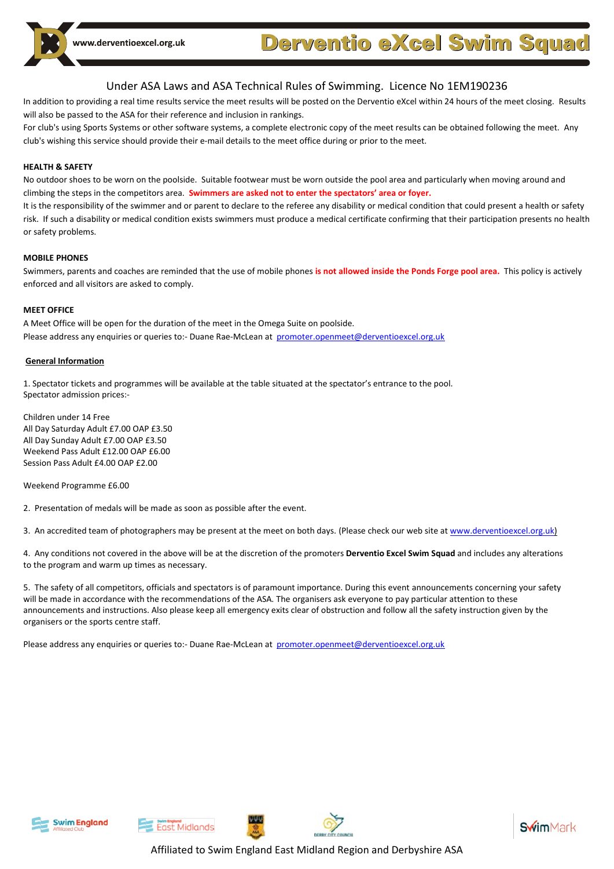ww.derventioexcel.org.uk

# **Derventio eXcel Swim Squad**

### Under ASA Laws and ASA Technical Rules of Swimming. Licence No 1EM190236

In addition to providing a real time results service the meet results will be posted on the Derventio eXcel within 24 hours of the meet closing. Results will also be passed to the ASA for their reference and inclusion in rankings.

For club's using Sports Systems or other software systems, a complete electronic copy of the meet results can be obtained following the meet. Any club's wishing this service should provide their e-mail details to the meet office during or prior to the meet.

#### **HEALTH & SAFETY**

No outdoor shoes to be worn on the poolside. Suitable footwear must be worn outside the pool area and particularly when moving around and climbing the steps in the competitors area. **Swimmers are asked not to enter the spectators' area or foyer.**

It is the responsibility of the swimmer and or parent to declare to the referee any disability or medical condition that could present a health or safety risk. If such a disability or medical condition exists swimmers must produce a medical certificate confirming that their participation presents no health or safety problems.

#### **MOBILE PHONES**

Swimmers, parents and coaches are reminded that the use of mobile phones **is not allowed inside the Ponds Forge pool area.** This policy is actively enforced and all visitors are asked to comply.

#### **MEET OFFICE**

A Meet Office will be open for the duration of the meet in the Omega Suite on poolside. Please address any enquiries or queries to:- Duane Rae-McLean at [promoter.openmeet@derventioexcel.org.uk](../../../../Simon/AppData/Local/Microsoft/Windows/DX%20Short%20Couse%20Open%20Meet%202011/Meet%20Info/promoter.openmeet@derventioexcel.org.uk)

#### **General Information**

1. Spectator tickets and programmes will be available at the table situated at the spectator's entrance to the pool. Spectator admission prices:-

Children under 14 Free All Day Saturday Adult £7.00 OAP £3.50 All Day Sunday Adult £7.00 OAP £3.50 Weekend Pass Adult £12.00 OAP £6.00 Session Pass Adult £4.00 OAP £2.00

Weekend Programme £6.00

2. Presentation of medals will be made as soon as possible after the event.

3. An accredited team of photographers may be present at the meet on both days. (Please check our web site a[t www.derventioexcel.org.uk\)](http://www.derventioexcel.org.uk/)

4. Any conditions not covered in the above will be at the discretion of the promoters **Derventio Excel Swim Squad** and includes any alterations to the program and warm up times as necessary.

5. The safety of all competitors, officials and spectators is of paramount importance. During this event announcements concerning your safety will be made in accordance with the recommendations of the ASA. The organisers ask everyone to pay particular attention to these announcements and instructions. Also please keep all emergency exits clear of obstruction and follow all the safety instruction given by the organisers or the sports centre staff.

Please address any enquiries or queries to:- Duane Rae-McLean at [promoter.openmeet@derventioexcel.org.uk](mailto:promoter.openmeet@derventioexcel.org.uk)





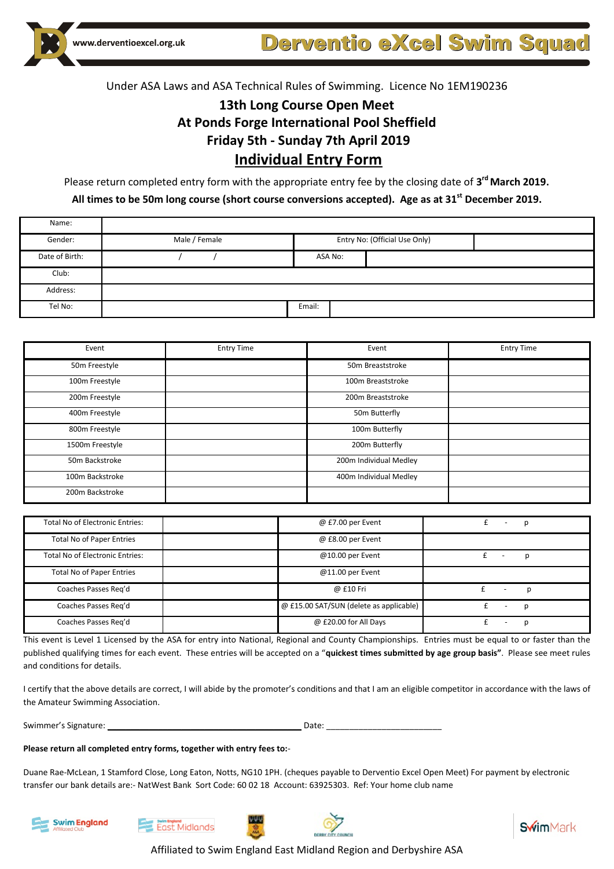# **13th Long Course Open Meet At Ponds Forge International Pool Sheffield Friday 5th - Sunday 7th April 2019 Individual Entry Form**

Please return completed entry form with the appropriate entry fee by the closing date of **3 rdMarch 2019**.

**All times to be 50m long course (short course conversions accepted). Age as at 31st December 2019.**

| Name:          |               |         |                               |
|----------------|---------------|---------|-------------------------------|
| Gender:        | Male / Female |         | Entry No: (Official Use Only) |
| Date of Birth: |               | ASA No: |                               |
| Club:          |               |         |                               |
| Address:       |               |         |                               |
| Tel No:        |               | Email:  |                               |

| Event           | <b>Entry Time</b> | Event                  | <b>Entry Time</b> |
|-----------------|-------------------|------------------------|-------------------|
| 50m Freestyle   |                   | 50m Breaststroke       |                   |
| 100m Freestyle  |                   | 100m Breaststroke      |                   |
| 200m Freestyle  |                   | 200m Breaststroke      |                   |
| 400m Freestyle  |                   | 50m Butterfly          |                   |
| 800m Freestyle  |                   | 100m Butterfly         |                   |
| 1500m Freestyle |                   | 200m Butterfly         |                   |
| 50m Backstroke  |                   | 200m Individual Medley |                   |
| 100m Backstroke |                   | 400m Individual Medley |                   |
| 200m Backstroke |                   |                        |                   |

| Total No of Electronic Entries:        | $@$ £7.00 per Event                     |                          |                               |  |
|----------------------------------------|-----------------------------------------|--------------------------|-------------------------------|--|
| <b>Total No of Paper Entries</b>       | @ £8.00 per Event                       |                          |                               |  |
| <b>Total No of Electronic Entries:</b> | $@10.00$ per Event                      |                          |                               |  |
| <b>Total No of Paper Entries</b>       | $@11.00$ per Event                      |                          |                               |  |
| Coaches Passes Reg'd                   | @ £10 Fri                               | $\overline{\phantom{a}}$ |                               |  |
| Coaches Passes Reg'd                   | @ £15.00 SAT/SUN (delete as applicable) |                          | D<br>$\overline{\phantom{a}}$ |  |
| Coaches Passes Reg'd                   | @ £20.00 for All Days                   |                          | r                             |  |

This event is Level 1 Licensed by the ASA for entry into National, Regional and County Championships. Entries must be equal to or faster than the published qualifying times for each event. These entries will be accepted on a "**quickest times submitted by age group basis"**. Please see meet rules and conditions for details.

I certify that the above details are correct, I will abide by the promoter's conditions and that I am an eligible competitor in accordance with the laws of the Amateur Swimming Association.

Swimmer's Signature: \_\_\_\_\_\_\_\_\_\_\_\_\_\_\_\_\_\_\_\_\_\_\_\_\_\_\_\_\_\_\_\_\_\_\_\_\_\_\_\_\_\_ Date: \_\_\_\_\_\_\_\_\_\_\_\_\_\_\_\_\_\_\_\_\_\_\_\_\_

#### **Please return all completed entry forms, together with entry fees to:**-

Duane Rae-McLean, 1 Stamford Close, Long Eaton, Notts, NG10 1PH. (cheques payable to Derventio Excel Open Meet) For payment by electronic transfer our bank details are:- NatWest Bank Sort Code: 60 02 18 Account: 63925303. Ref: Your home club name







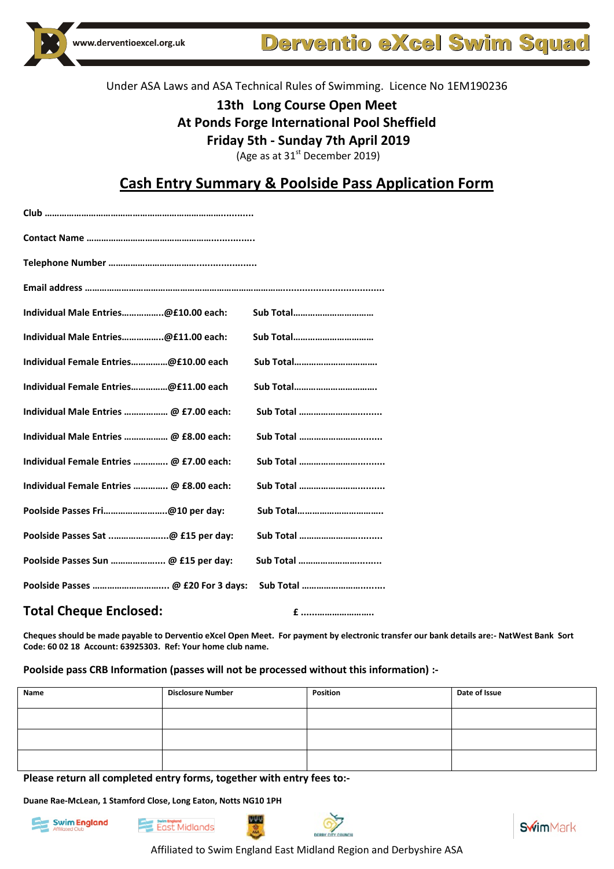

**Derventio eXcel Swim Squad** 

### Under ASA Laws and ASA Technical Rules of Swimming. Licence No 1EM190236

# **13th Long Course Open Meet**

### **At Ponds Forge International Pool Sheffield**

**Friday 5th - Sunday 7th April 2019**

(Age as at  $31<sup>st</sup>$  December 2019)

### **Cash Entry Summary & Poolside Pass Application Form**

| Club ………………………………………………………………………         |                   |  |  |  |  |  |
|------------------------------------------|-------------------|--|--|--|--|--|
|                                          |                   |  |  |  |  |  |
|                                          |                   |  |  |  |  |  |
|                                          |                   |  |  |  |  |  |
| Individual Male Entries@£10.00 each:     | Sub Total         |  |  |  |  |  |
| Individual Male Entries@£11.00 each:     | Sub Total         |  |  |  |  |  |
| Individual Female Entries@£10.00 each    | <b>Sub Total</b>  |  |  |  |  |  |
| Individual Female Entries@£11.00 each    | Sub Total         |  |  |  |  |  |
| Individual Male Entries  @ £7.00 each:   | Sub Total         |  |  |  |  |  |
| Individual Male Entries  @ £8.00 each:   | Sub Total         |  |  |  |  |  |
| Individual Female Entries  @ £7.00 each: | <b>Sub Total </b> |  |  |  |  |  |
| Individual Female Entries  @ £8.00 each: | Sub Total         |  |  |  |  |  |
| Poolside Passes Fri@10 per day:          | <b>Sub Total</b>  |  |  |  |  |  |
| Poolside Passes Sat @ £15 per day:       | Sub Total         |  |  |  |  |  |
| Poolside Passes Sun  @ £15 per day:      | Sub Total         |  |  |  |  |  |
|                                          | Sub Total         |  |  |  |  |  |

### **Total Cheque Enclosed: £ ......…………………..**

**Cheques should be made payable to Derventio eXcel Open Meet. For payment by electronic transfer our bank details are:- NatWest Bank Sort Code: 60 02 18 Account: 63925303. Ref: Your home club name.**

#### **Poolside pass CRB Information (passes will not be processed without this information) :-**

WW

| Name | <b>Disclosure Number</b> | Position | Date of Issue |
|------|--------------------------|----------|---------------|
|      |                          |          |               |
|      |                          |          |               |
|      |                          |          |               |

**Please return all completed entry forms, together with entry fees to:-**

**Duane Rae-McLean, 1 Stamford Close, Long Eaton, Notts NG10 1PH**